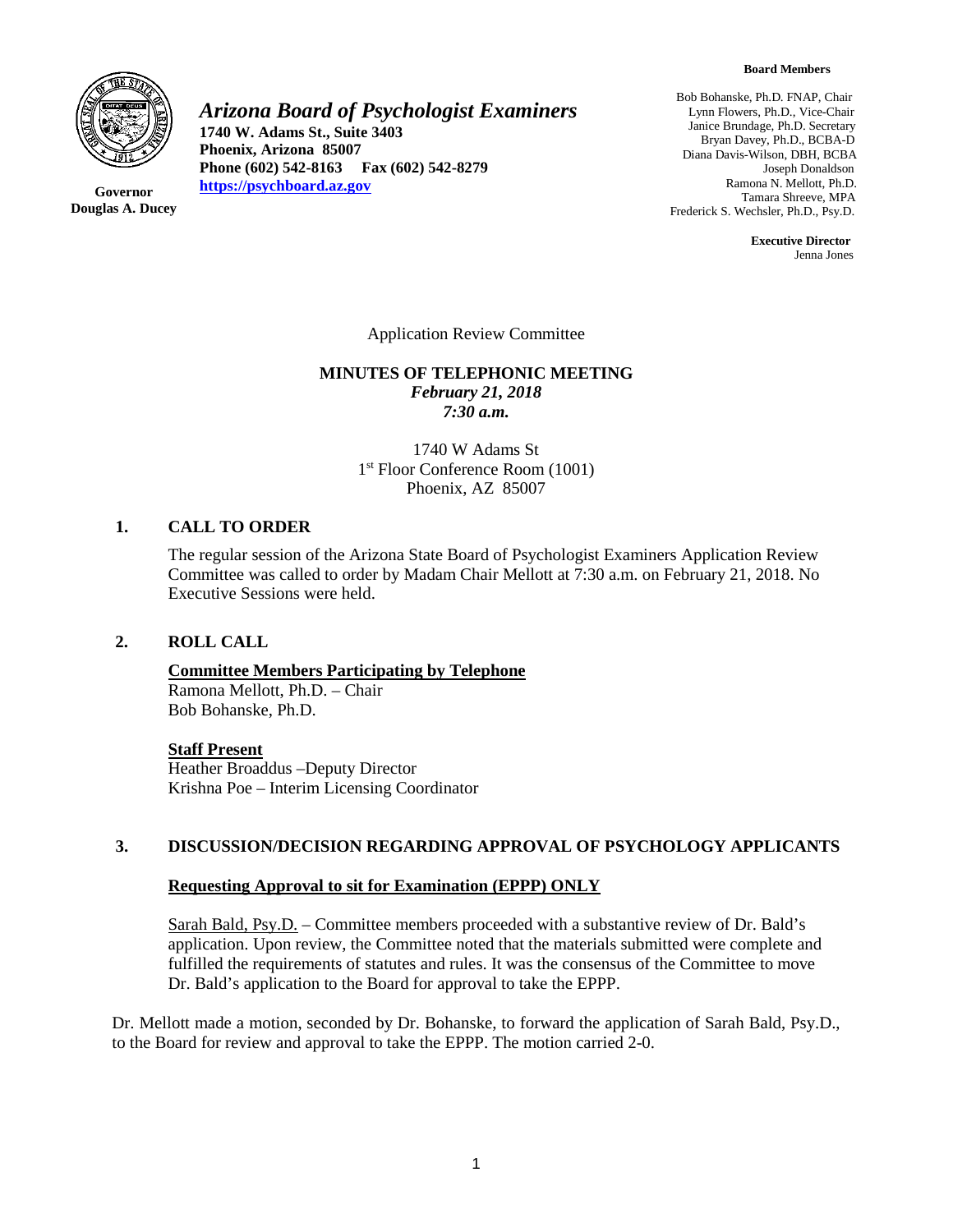

**Governor Douglas A. Ducey** *Arizona Board of Psychologist Examiners*

**1740 W. Adams St., Suite 3403 Phoenix, Arizona 85007 Phone (602) 542-8163 Fax (602) 542-8279 [https://psychboard.az.gov](https://psychboard.az.gov/)**

Bob Bohanske, Ph.D. FNAP, Chair Lynn Flowers, Ph.D., Vice-Chair Janice Brundage, Ph.D. Secretary Bryan Davey, Ph.D., BCBA-D Diana Davis-Wilson, DBH, BCBA Joseph Donaldson Ramona N. Mellott, Ph.D. Tamara Shreeve, MPA Frederick S. Wechsler, Ph.D., Psy.D.

> **Executive Director** Jenna Jones

Application Review Committee

#### **MINUTES OF TELEPHONIC MEETING** *February 21, 2018 7:30 a.m.*

1740 W Adams St 1<sup>st</sup> Floor Conference Room (1001) Phoenix, AZ 85007

## **1. CALL TO ORDER**

The regular session of the Arizona State Board of Psychologist Examiners Application Review Committee was called to order by Madam Chair Mellott at 7:30 a.m. on February 21, 2018. No Executive Sessions were held.

#### **2. ROLL CALL**

**Committee Members Participating by Telephone** Ramona Mellott, Ph.D. – Chair Bob Bohanske, Ph.D.

### **Staff Present**

Heather Broaddus –Deputy Director Krishna Poe – Interim Licensing Coordinator

### **3. DISCUSSION/DECISION REGARDING APPROVAL OF PSYCHOLOGY APPLICANTS**

#### **Requesting Approval to sit for Examination (EPPP) ONLY**

Sarah Bald, Psy.D. – Committee members proceeded with a substantive review of Dr. Bald's application. Upon review, the Committee noted that the materials submitted were complete and fulfilled the requirements of statutes and rules. It was the consensus of the Committee to move Dr. Bald's application to the Board for approval to take the EPPP.

Dr. Mellott made a motion, seconded by Dr. Bohanske, to forward the application of Sarah Bald, Psy.D., to the Board for review and approval to take the EPPP. The motion carried 2-0.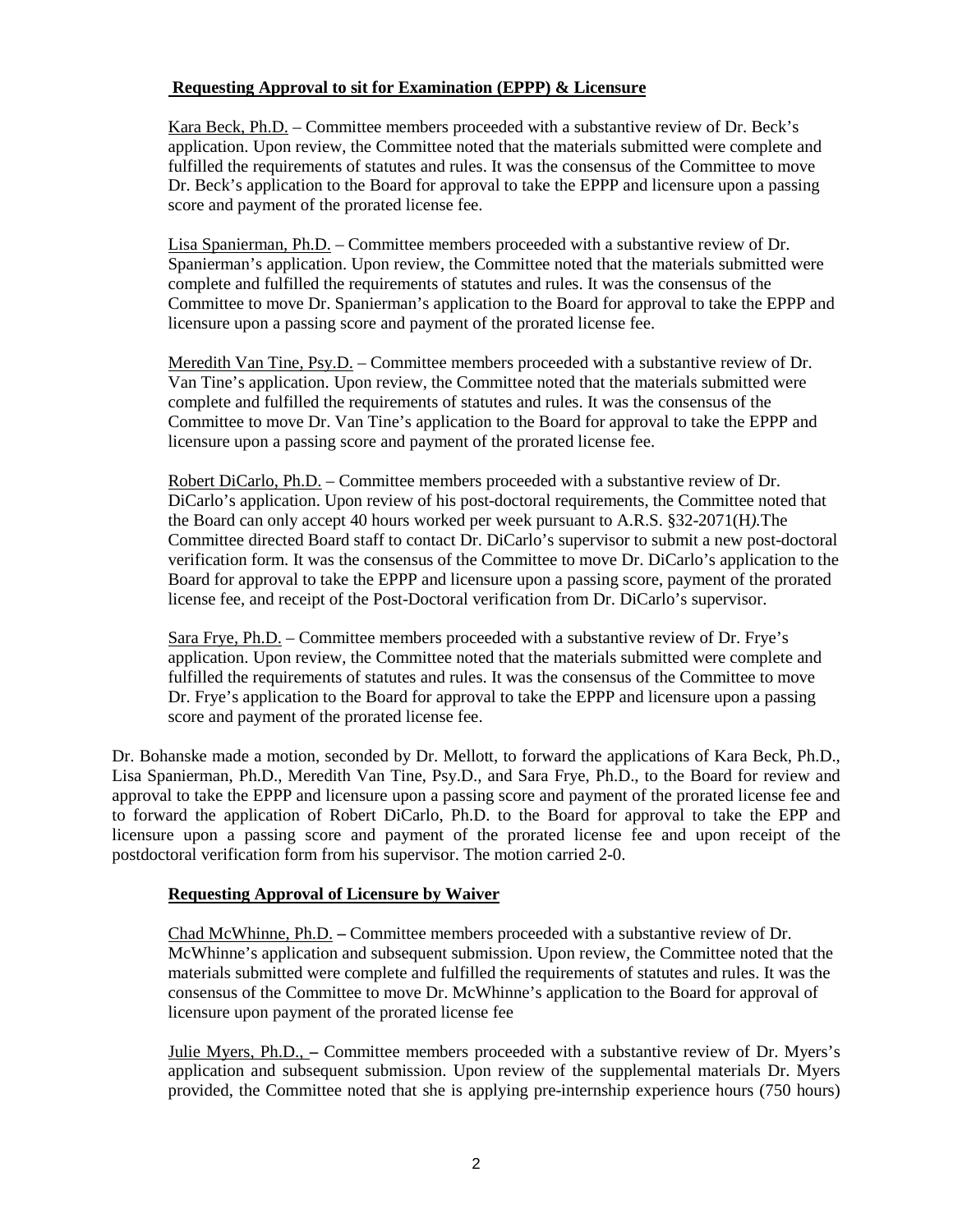## **Requesting Approval to sit for Examination (EPPP) & Licensure**

Kara Beck, Ph.D. – Committee members proceeded with a substantive review of Dr. Beck's application. Upon review, the Committee noted that the materials submitted were complete and fulfilled the requirements of statutes and rules. It was the consensus of the Committee to move Dr. Beck's application to the Board for approval to take the EPPP and licensure upon a passing score and payment of the prorated license fee.

Lisa Spanierman, Ph.D. – Committee members proceeded with a substantive review of Dr. Spanierman's application. Upon review, the Committee noted that the materials submitted were complete and fulfilled the requirements of statutes and rules. It was the consensus of the Committee to move Dr. Spanierman's application to the Board for approval to take the EPPP and licensure upon a passing score and payment of the prorated license fee.

Meredith Van Tine, Psy.D. – Committee members proceeded with a substantive review of Dr. Van Tine's application. Upon review, the Committee noted that the materials submitted were complete and fulfilled the requirements of statutes and rules. It was the consensus of the Committee to move Dr. Van Tine's application to the Board for approval to take the EPPP and licensure upon a passing score and payment of the prorated license fee.

Robert DiCarlo, Ph.D. – Committee members proceeded with a substantive review of Dr. DiCarlo's application. Upon review of his post-doctoral requirements, the Committee noted that the Board can only accept 40 hours worked per week pursuant to A.R.S. §32-2071(H*).*The Committee directed Board staff to contact Dr. DiCarlo's supervisor to submit a new post-doctoral verification form. It was the consensus of the Committee to move Dr. DiCarlo's application to the Board for approval to take the EPPP and licensure upon a passing score, payment of the prorated license fee, and receipt of the Post-Doctoral verification from Dr. DiCarlo's supervisor.

Sara Frye, Ph.D. – Committee members proceeded with a substantive review of Dr. Frye's application. Upon review, the Committee noted that the materials submitted were complete and fulfilled the requirements of statutes and rules. It was the consensus of the Committee to move Dr. Frye's application to the Board for approval to take the EPPP and licensure upon a passing score and payment of the prorated license fee.

Dr. Bohanske made a motion, seconded by Dr. Mellott, to forward the applications of Kara Beck, Ph.D., Lisa Spanierman, Ph.D., Meredith Van Tine, Psy.D., and Sara Frye, Ph.D., to the Board for review and approval to take the EPPP and licensure upon a passing score and payment of the prorated license fee and to forward the application of Robert DiCarlo, Ph.D. to the Board for approval to take the EPP and licensure upon a passing score and payment of the prorated license fee and upon receipt of the postdoctoral verification form from his supervisor. The motion carried 2-0.

## **Requesting Approval of Licensure by Waiver**

Chad McWhinne, Ph.D. **–** Committee members proceeded with a substantive review of Dr. McWhinne's application and subsequent submission. Upon review, the Committee noted that the materials submitted were complete and fulfilled the requirements of statutes and rules. It was the consensus of the Committee to move Dr. McWhinne's application to the Board for approval of licensure upon payment of the prorated license fee

Julie Myers, Ph.D., **–** Committee members proceeded with a substantive review of Dr. Myers's application and subsequent submission. Upon review of the supplemental materials Dr. Myers provided, the Committee noted that she is applying pre-internship experience hours (750 hours)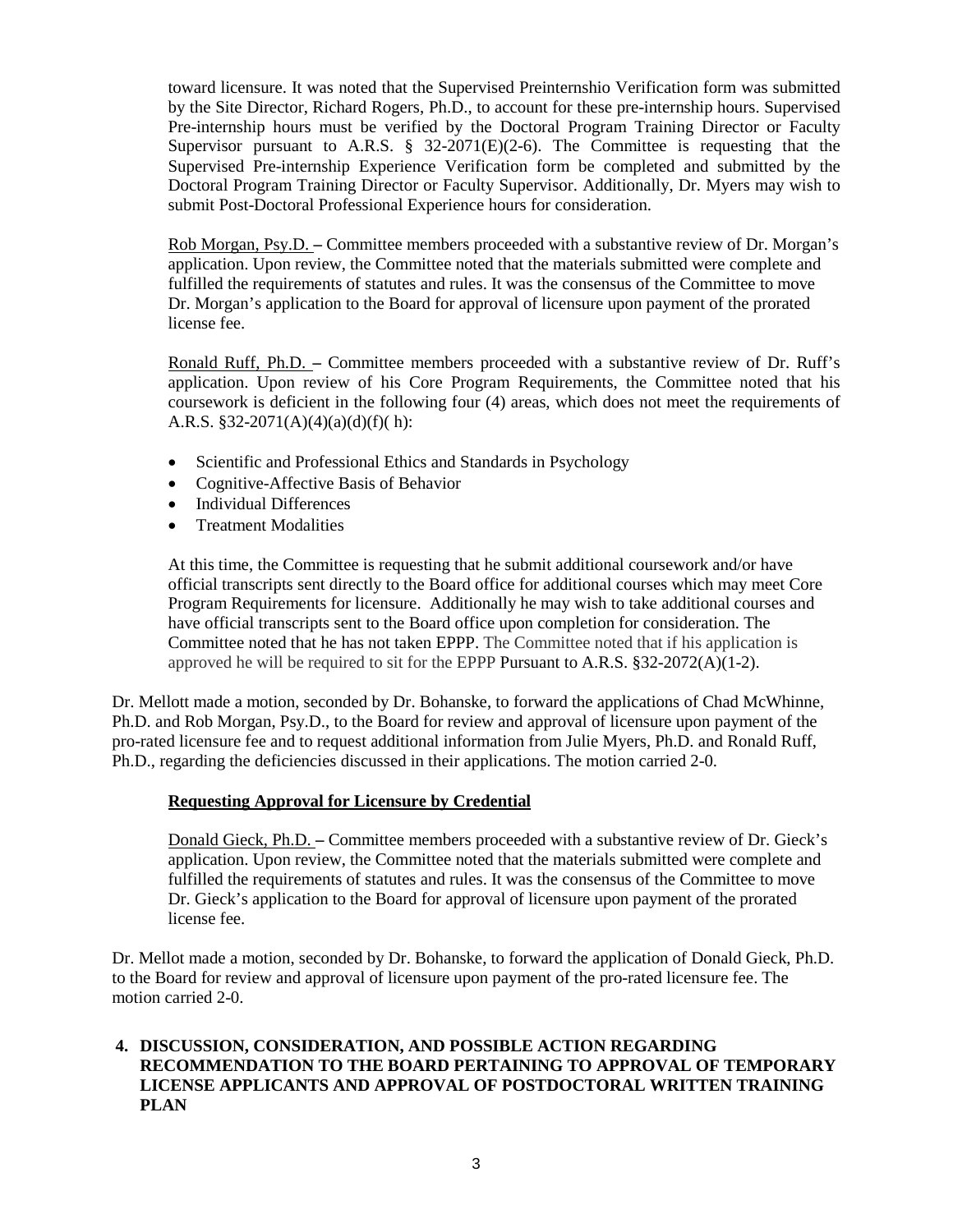toward licensure. It was noted that the Supervised Preinternshio Verification form was submitted by the Site Director, Richard Rogers, Ph.D., to account for these pre-internship hours. Supervised Pre-internship hours must be verified by the Doctoral Program Training Director or Faculty Supervisor pursuant to A.R.S.  $\S$  32-2071(E)(2-6). The Committee is requesting that the Supervised Pre-internship Experience Verification form be completed and submitted by the Doctoral Program Training Director or Faculty Supervisor. Additionally, Dr. Myers may wish to submit Post-Doctoral Professional Experience hours for consideration.

Rob Morgan, Psy.D. **–** Committee members proceeded with a substantive review of Dr. Morgan's application. Upon review, the Committee noted that the materials submitted were complete and fulfilled the requirements of statutes and rules. It was the consensus of the Committee to move Dr. Morgan's application to the Board for approval of licensure upon payment of the prorated license fee.

Ronald Ruff, Ph.D. **–** Committee members proceeded with a substantive review of Dr. Ruff's application. Upon review of his Core Program Requirements, the Committee noted that his coursework is deficient in the following four (4) areas, which does not meet the requirements of A.R.S.  $§32-2071(A)(4)(a)(d)(f)(h):$ 

- Scientific and Professional Ethics and Standards in Psychology
- Cognitive-Affective Basis of Behavior
- Individual Differences
- Treatment Modalities

At this time, the Committee is requesting that he submit additional coursework and/or have official transcripts sent directly to the Board office for additional courses which may meet Core Program Requirements for licensure. Additionally he may wish to take additional courses and have official transcripts sent to the Board office upon completion for consideration. The Committee noted that he has not taken EPPP. The Committee noted that if his application is approved he will be required to sit for the EPPP Pursuant to A.R.S.  $\S 32-2072(A)(1-2)$ .

Dr. Mellott made a motion, seconded by Dr. Bohanske, to forward the applications of Chad McWhinne, Ph.D. and Rob Morgan, Psy.D., to the Board for review and approval of licensure upon payment of the pro-rated licensure fee and to request additional information from Julie Myers, Ph.D. and Ronald Ruff, Ph.D., regarding the deficiencies discussed in their applications. The motion carried 2-0.

## **Requesting Approval for Licensure by Credential**

Donald Gieck, Ph.D. **–** Committee members proceeded with a substantive review of Dr. Gieck's application. Upon review, the Committee noted that the materials submitted were complete and fulfilled the requirements of statutes and rules. It was the consensus of the Committee to move Dr. Gieck's application to the Board for approval of licensure upon payment of the prorated license fee.

Dr. Mellot made a motion, seconded by Dr. Bohanske, to forward the application of Donald Gieck, Ph.D. to the Board for review and approval of licensure upon payment of the pro-rated licensure fee. The motion carried 2-0.

# **4. DISCUSSION, CONSIDERATION, AND POSSIBLE ACTION REGARDING RECOMMENDATION TO THE BOARD PERTAINING TO APPROVAL OF TEMPORARY LICENSE APPLICANTS AND APPROVAL OF POSTDOCTORAL WRITTEN TRAINING PLAN**